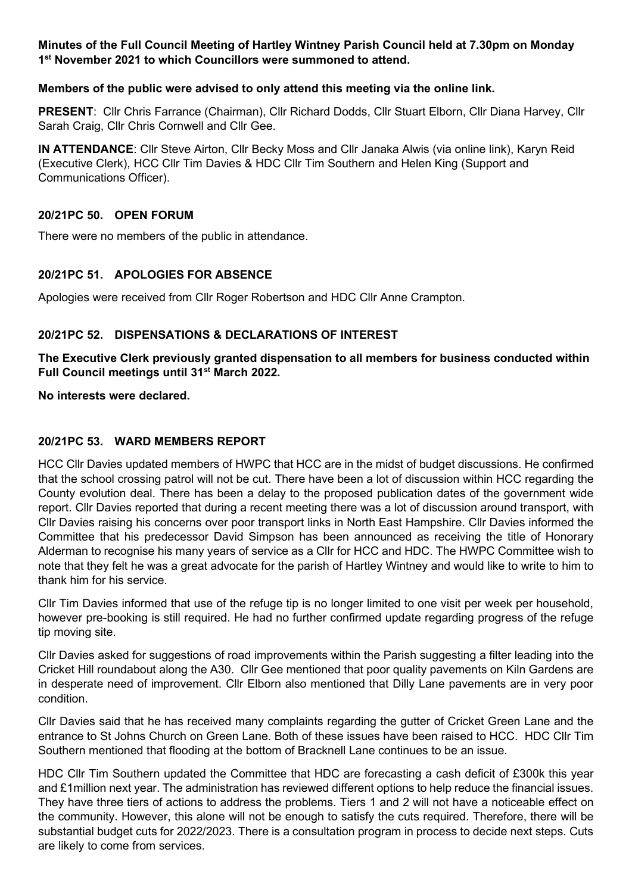## **Minutes of the Full Council Meeting of Hartley Wintney Parish Council held at 7.30pm on Monday 1st November 2021 to which Councillors were summoned to attend.**

#### **Members of the public were advised to only attend this meeting via the online link.**

**PRESENT**: Cllr Chris Farrance (Chairman), Cllr Richard Dodds, Cllr Stuart Elborn, Cllr Diana Harvey, Cllr Sarah Craig, Cllr Chris Cornwell and Cllr Gee.

**IN ATTENDANCE**: Cllr Steve Airton, Cllr Becky Moss and Cllr Janaka Alwis (via online link), Karyn Reid (Executive Clerk), HCC Cllr Tim Davies & HDC Cllr Tim Southern and Helen King (Support and Communications Officer).

## **20/21PC 50. OPEN FORUM**

There were no members of the public in attendance.

# **20/21PC 51. APOLOGIES FOR ABSENCE**

Apologies were received from Cllr Roger Robertson and HDC Cllr Anne Crampton.

## **20/21PC 52. DISPENSATIONS & DECLARATIONS OF INTEREST**

**The Executive Clerk previously granted dispensation to all members for business conducted within Full Council meetings until 31st March 2022.**

**No interests were declared.** 

# **20/21PC 53. WARD MEMBERS REPORT**

HCC Cllr Davies updated members of HWPC that HCC are in the midst of budget discussions. He confirmed that the school crossing patrol will not be cut. There have been a lot of discussion within HCC regarding the County evolution deal. There has been a delay to the proposed publication dates of the government wide report. Cllr Davies reported that during a recent meeting there was a lot of discussion around transport, with Cllr Davies raising his concerns over poor transport links in North East Hampshire. Cllr Davies informed the Committee that his predecessor David Simpson has been announced as receiving the title of Honorary Alderman to recognise his many years of service as a Cllr for HCC and HDC. The HWPC Committee wish to note that they felt he was a great advocate for the parish of Hartley Wintney and would like to write to him to thank him for his service.

Cllr Tim Davies informed that use of the refuge tip is no longer limited to one visit per week per household, however pre-booking is still required. He had no further confirmed update regarding progress of the refuge tip moving site.

Cllr Davies asked for suggestions of road improvements within the Parish suggesting a filter leading into the Cricket Hill roundabout along the A30. Cllr Gee mentioned that poor quality pavements on Kiln Gardens are in desperate need of improvement. Cllr Elborn also mentioned that Dilly Lane pavements are in very poor condition.

Cllr Davies said that he has received many complaints regarding the gutter of Cricket Green Lane and the entrance to St Johns Church on Green Lane. Both of these issues have been raised to HCC. HDC Cllr Tim Southern mentioned that flooding at the bottom of Bracknell Lane continues to be an issue.

HDC Cllr Tim Southern updated the Committee that HDC are forecasting a cash deficit of £300k this year and £1million next year. The administration has reviewed different options to help reduce the financial issues. They have three tiers of actions to address the problems. Tiers 1 and 2 will not have a noticeable effect on the community. However, this alone will not be enough to satisfy the cuts required. Therefore, there will be substantial budget cuts for 2022/2023. There is a consultation program in process to decide next steps. Cuts are likely to come from services.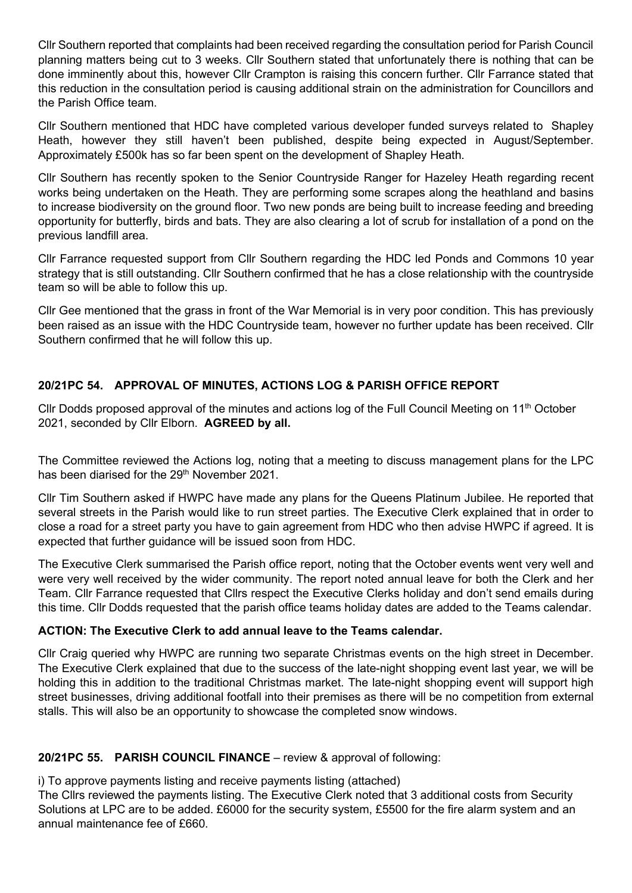Cllr Southern reported that complaints had been received regarding the consultation period for Parish Council planning matters being cut to 3 weeks. Cllr Southern stated that unfortunately there is nothing that can be done imminently about this, however Cllr Crampton is raising this concern further. Cllr Farrance stated that this reduction in the consultation period is causing additional strain on the administration for Councillors and the Parish Office team.

Cllr Southern mentioned that HDC have completed various developer funded surveys related to Shapley Heath, however they still haven't been published, despite being expected in August/September. Approximately £500k has so far been spent on the development of Shapley Heath.

Cllr Southern has recently spoken to the Senior Countryside Ranger for Hazeley Heath regarding recent works being undertaken on the Heath. They are performing some scrapes along the heathland and basins to increase biodiversity on the ground floor. Two new ponds are being built to increase feeding and breeding opportunity for butterfly, birds and bats. They are also clearing a lot of scrub for installation of a pond on the previous landfill area.

Cllr Farrance requested support from Cllr Southern regarding the HDC led Ponds and Commons 10 year strategy that is still outstanding. Cllr Southern confirmed that he has a close relationship with the countryside team so will be able to follow this up.

Cllr Gee mentioned that the grass in front of the War Memorial is in very poor condition. This has previously been raised as an issue with the HDC Countryside team, however no further update has been received. Cllr Southern confirmed that he will follow this up.

# **20/21PC 54. APPROVAL OF MINUTES, ACTIONS LOG & PARISH OFFICE REPORT**

Cllr Dodds proposed approval of the minutes and actions log of the Full Council Meeting on 11<sup>th</sup> October 2021, seconded by Cllr Elborn. **AGREED by all.**

The Committee reviewed the Actions log, noting that a meeting to discuss management plans for the LPC has been diarised for the 29<sup>th</sup> November 2021.

Cllr Tim Southern asked if HWPC have made any plans for the Queens Platinum Jubilee. He reported that several streets in the Parish would like to run street parties. The Executive Clerk explained that in order to close a road for a street party you have to gain agreement from HDC who then advise HWPC if agreed. It is expected that further guidance will be issued soon from HDC.

The Executive Clerk summarised the Parish office report, noting that the October events went very well and were very well received by the wider community. The report noted annual leave for both the Clerk and her Team. Cllr Farrance requested that Cllrs respect the Executive Clerks holiday and don't send emails during this time. Cllr Dodds requested that the parish office teams holiday dates are added to the Teams calendar.

#### **ACTION: The Executive Clerk to add annual leave to the Teams calendar.**

Cllr Craig queried why HWPC are running two separate Christmas events on the high street in December. The Executive Clerk explained that due to the success of the late-night shopping event last year, we will be holding this in addition to the traditional Christmas market. The late-night shopping event will support high street businesses, driving additional footfall into their premises as there will be no competition from external stalls. This will also be an opportunity to showcase the completed snow windows.

#### **20/21PC 55. PARISH COUNCIL FINANCE** – review & approval of following:

i) To approve payments listing and receive payments listing (attached)

The Cllrs reviewed the payments listing. The Executive Clerk noted that 3 additional costs from Security Solutions at LPC are to be added. £6000 for the security system, £5500 for the fire alarm system and an annual maintenance fee of £660.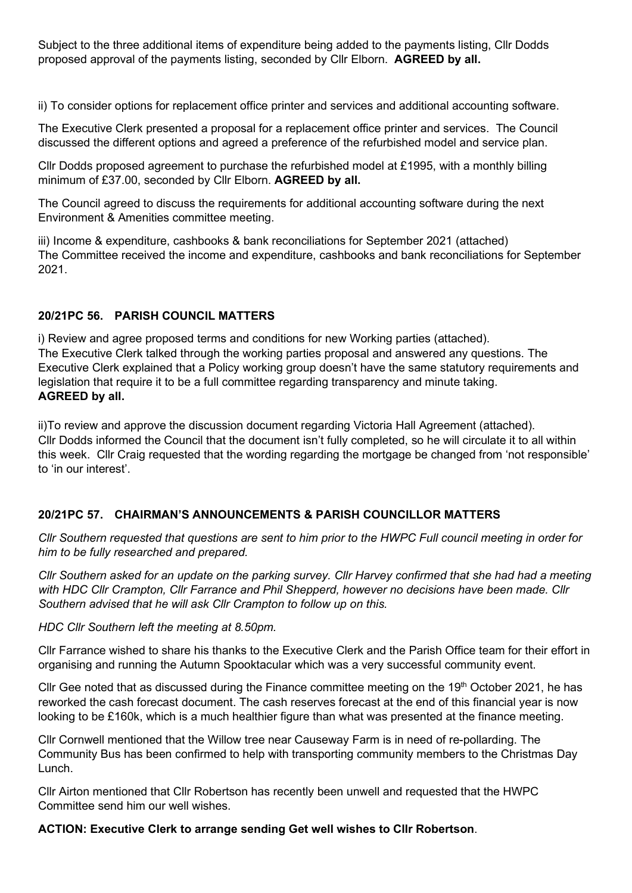Subject to the three additional items of expenditure being added to the payments listing, Cllr Dodds proposed approval of the payments listing, seconded by Cllr Elborn. **AGREED by all.**

ii) To consider options for replacement office printer and services and additional accounting software.

The Executive Clerk presented a proposal for a replacement office printer and services. The Council discussed the different options and agreed a preference of the refurbished model and service plan.

Cllr Dodds proposed agreement to purchase the refurbished model at £1995, with a monthly billing minimum of £37.00, seconded by Cllr Elborn. **AGREED by all.**

The Council agreed to discuss the requirements for additional accounting software during the next Environment & Amenities committee meeting.

iii) Income & expenditure, cashbooks & bank reconciliations for September 2021 (attached) The Committee received the income and expenditure, cashbooks and bank reconciliations for September 2021.

## **20/21PC 56. PARISH COUNCIL MATTERS**

i) Review and agree proposed terms and conditions for new Working parties (attached). The Executive Clerk talked through the working parties proposal and answered any questions. The Executive Clerk explained that a Policy working group doesn't have the same statutory requirements and legislation that require it to be a full committee regarding transparency and minute taking. **AGREED by all.**

ii)To review and approve the discussion document regarding Victoria Hall Agreement (attached). Cllr Dodds informed the Council that the document isn't fully completed, so he will circulate it to all within this week. Cllr Craig requested that the wording regarding the mortgage be changed from 'not responsible' to 'in our interest'.

# **20/21PC 57. CHAIRMAN'S ANNOUNCEMENTS & PARISH COUNCILLOR MATTERS**

*Cllr Southern requested that questions are sent to him prior to the HWPC Full council meeting in order for him to be fully researched and prepared.*

*Cllr Southern asked for an update on the parking survey. Cllr Harvey confirmed that she had had a meeting with HDC Cllr Crampton, Cllr Farrance and Phil Shepperd, however no decisions have been made. Cllr Southern advised that he will ask Cllr Crampton to follow up on this.*

*HDC Cllr Southern left the meeting at 8.50pm.*

Cllr Farrance wished to share his thanks to the Executive Clerk and the Parish Office team for their effort in organising and running the Autumn Spooktacular which was a very successful community event.

Cllr Gee noted that as discussed during the Finance committee meeting on the  $19<sup>th</sup>$  October 2021, he has reworked the cash forecast document. The cash reserves forecast at the end of this financial year is now looking to be £160k, which is a much healthier figure than what was presented at the finance meeting.

Cllr Cornwell mentioned that the Willow tree near Causeway Farm is in need of re-pollarding. The Community Bus has been confirmed to help with transporting community members to the Christmas Day Lunch.

Cllr Airton mentioned that Cllr Robertson has recently been unwell and requested that the HWPC Committee send him our well wishes.

**ACTION: Executive Clerk to arrange sending Get well wishes to Cllr Robertson**.